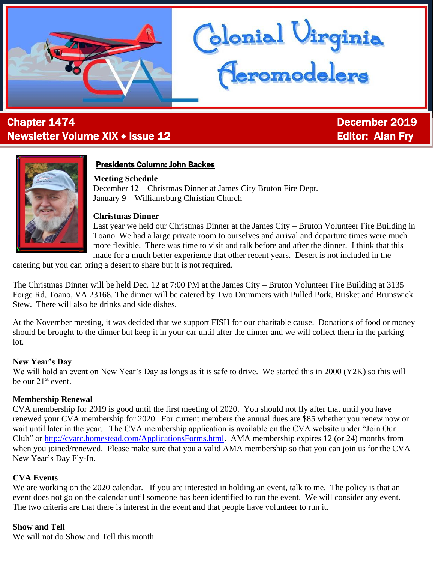

# **Chapter 1474** December 2019 Newsletter Volume XIX • Issue 12 Editor: Alan Fry

Ĩ



## Presidents Column: John Backes

## **Meeting Schedule**

December 12 – Christmas Dinner at James City Bruton Fire Dept. January 9 – Williamsburg Christian Church

#### **Christmas Dinner**

Last year we held our Christmas Dinner at the James City – Bruton Volunteer Fire Building in Toano. We had a large private room to ourselves and arrival and departure times were much more flexible. There was time to visit and talk before and after the dinner. I think that this made for a much better experience that other recent years. Desert is not included in the

lonial Uirginia<br>Aeromodelers

catering but you can bring a desert to share but it is not required.

The Christmas Dinner will be held Dec. 12 at 7:00 PM at the James City – Bruton Volunteer Fire Building at 3135 Forge Rd, Toano, VA 23168. The dinner will be catered by Two Drummers with Pulled Pork, Brisket and Brunswick Stew. There will also be drinks and side dishes.

At the November meeting, it was decided that we support FISH for our charitable cause. Donations of food or money should be brought to the dinner but keep it in your car until after the dinner and we will collect them in the parking lot.

#### **New Year's Day**

We will hold an event on New Year's Day as longs as it is safe to drive. We started this in 2000 (Y2K) so this will be our  $21^{st}$  event.

## **Membership Renewal**

CVA membership for 2019 is good until the first meeting of 2020. You should not fly after that until you have renewed your CVA membership for 2020. For current members the annual dues are \$85 whether you renew now or wait until later in the year. The CVA membership application is available on the CVA website under "Join Our Club" or [http://cvarc.homestead.com/ApplicationsForms.html.](http://cvarc.homestead.com/ApplicationsForms.html) AMA membership expires 12 (or 24) months from when you joined/renewed. Please make sure that you a valid AMA membership so that you can join us for the CVA New Year's Day Fly-In.

## **CVA Events**

We are working on the 2020 calendar. If you are interested in holding an event, talk to me. The policy is that an event does not go on the calendar until someone has been identified to run the event. We will consider any event. The two criteria are that there is interest in the event and that people have volunteer to run it.

## **Show and Tell**

We will not do Show and Tell this month.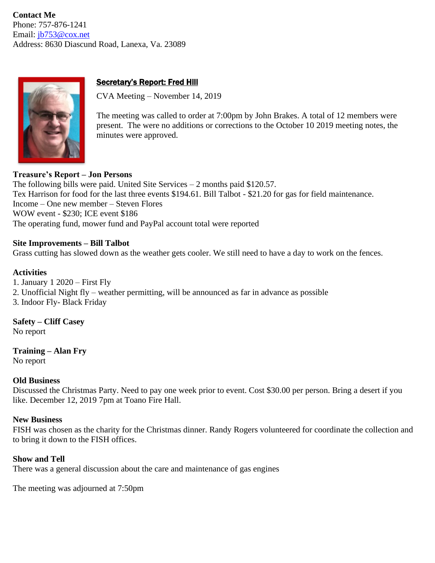**Contact Me** Phone: 757-876-1241 Email: [jb753@cox.net](mailto:jb753@cox.net) Address: 8630 Diascund Road, Lanexa, Va. 23089



## Secretary's Report: Fred Hill

CVA Meeting – November 14, 2019

The meeting was called to order at 7:00pm by John Brakes. A total of 12 members were present. The were no additions or corrections to the October 10 2019 meeting notes, the minutes were approved.

## **Treasure's Report – Jon Persons**

The following bills were paid. United Site Services  $-2$  months paid \$120.57. Tex Harrison for food for the last three events \$194.61. Bill Talbot - \$21.20 for gas for field maintenance. Income – One new member – Steven Flores WOW event - \$230; ICE event \$186 The operating fund, mower fund and PayPal account total were reported

#### **Site Improvements – Bill Talbot**

Grass cutting has slowed down as the weather gets cooler. We still need to have a day to work on the fences.

#### **Activities**

1. January 1 2020 – First Fly 2. Unofficial Night fly – weather permitting, will be announced as far in advance as possible 3. Indoor Fly- Black Friday

**Safety – Cliff Casey** No report

**Training – Alan Fry** No report

#### **Old Business**

Discussed the Christmas Party. Need to pay one week prior to event. Cost \$30.00 per person. Bring a desert if you like. December 12, 2019 7pm at Toano Fire Hall.

#### **New Business**

FISH was chosen as the charity for the Christmas dinner. Randy Rogers volunteered for coordinate the collection and to bring it down to the FISH offices.

#### **Show and Tell**

There was a general discussion about the care and maintenance of gas engines

The meeting was adjourned at 7:50pm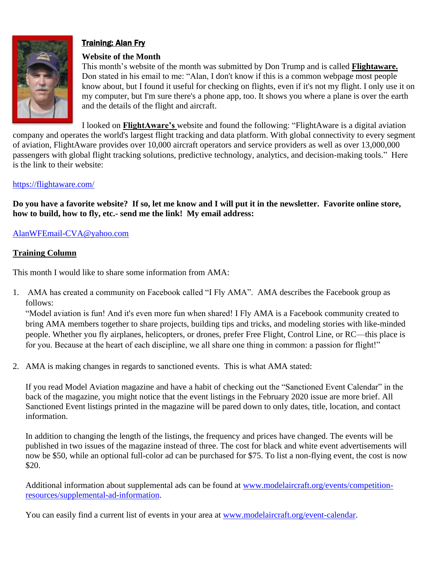

## Training: Alan Fry

## **Website of the Month**

This month's website of the month was submitted by Don Trump and is called **Flightaware.** Don stated in his email to me: "Alan, I don't know if this is a common webpage most people know about, but I found it useful for checking on flights, even if it's not my flight. I only use it on my computer, but I'm sure there's a phone app, too. It shows you where a plane is over the earth and the details of the flight and aircraft.

I looked on **FlightAware's** website and found the following: "FlightAware is a digital aviation company and operates the world's largest flight tracking and data platform. With global connectivity to every segment of aviation, FlightAware provides over 10,000 aircraft operators and service providers as well as over 13,000,000 passengers with global flight tracking solutions, predictive technology, analytics, and decision-making tools." Here is the link to their website:

## <https://flightaware.com/>

**Do you have a favorite website? If so, let me know and I will put it in the newsletter. Favorite online store, how to build, how to fly, etc.- send me the link! My email address:**

## [AlanWFEmail-CVA@yahoo.com](mailto:AlanWFEmail-CVA@yahoo.com)

## **Training Column**

This month I would like to share some information from AMA:

1. AMA has created a community on Facebook called "I Fly AMA". AMA describes the Facebook group as follows:

"Model aviation is fun! And it's even more fun when shared! I Fly AMA is a Facebook community created to bring AMA members together to share projects, building tips and tricks, and modeling stories with like-minded people. Whether you fly airplanes, helicopters, or drones, prefer Free Flight, Control Line, or RC—this place is for you. Because at the heart of each discipline, we all share one thing in common: a passion for flight!"

2. AMA is making changes in regards to sanctioned events. This is what AMA stated:

If you read Model Aviation magazine and have a habit of checking out the "Sanctioned Event Calendar" in the back of the magazine, you might notice that the event listings in the February 2020 issue are more brief. All Sanctioned Event listings printed in the magazine will be pared down to only dates, title, location, and contact information.

In addition to changing the length of the listings, the frequency and prices have changed. The events will be published in two issues of the magazine instead of three. The cost for black and white event advertisements will now be \$50, while an optional full-color ad can be purchased for \$75. To list a non-flying event, the cost is now \$20.

Additional information about supplemental ads can be found at [www.modelaircraft.org/events/competition](http://www.modelaircraft.org/events/competition-resources/supplemental-ad-information)[resources/supplemental-ad-information.](http://www.modelaircraft.org/events/competition-resources/supplemental-ad-information)

You can easily find a current list of events in your area at [www.modelaircraft.org/event-calendar.](http://www.modelaircraft.org/event-calendar)